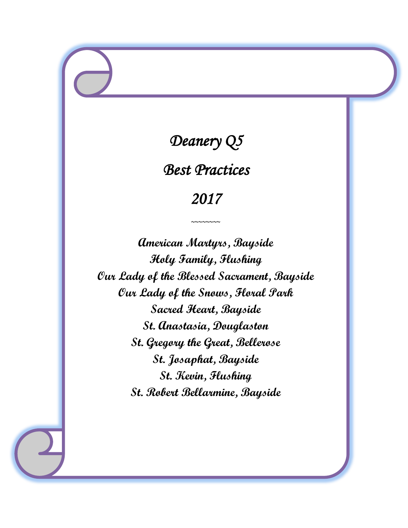# *Deanery Q5*

*Best Practices* 

# *2017*

 $\sim$ ~~~~~~

**American Martyrs, Bayside Holy Family, Flushing Our Lady of the Blessed Sacrament, Bayside Our Lady of the Snows, Floral Park Sacred Heart, Bayside St. Anastasia, Douglaston St. Gregory the Great, Bellerose St. Josaphat, Bayside St. Kevin, Flushing St. Robert Bellarmine, Bayside**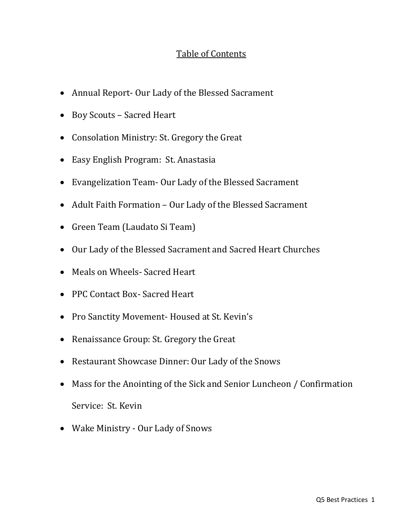# Table of Contents

- Annual Report- Our Lady of the Blessed Sacrament
- Boy Scouts Sacred Heart
- Consolation Ministry: St. Gregory the Great
- Easy English Program: St. Anastasia
- Evangelization Team- Our Lady of the Blessed Sacrament
- Adult Faith Formation Our Lady of the Blessed Sacrament
- Green Team (Laudato Si Team)
- Our Lady of the Blessed Sacrament and Sacred Heart Churches
- Meals on Wheels- Sacred Heart
- PPC Contact Box- Sacred Heart
- Pro Sanctity Movement-Housed at St. Kevin's
- Renaissance Group: St. Gregory the Great
- Restaurant Showcase Dinner: Our Lady of the Snows
- Mass for the Anointing of the Sick and Senior Luncheon / Confirmation Service: St. Kevin
- Wake Ministry Our Lady of Snows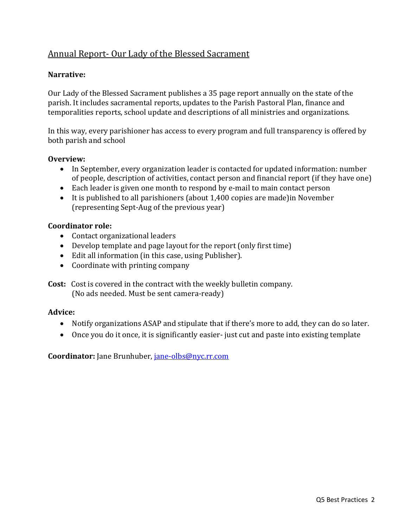# Annual Report- Our Lady of the Blessed Sacrament

#### **Narrative:**

Our Lady of the Blessed Sacrament publishes a 35 page report annually on the state of the parish. It includes sacramental reports, updates to the Parish Pastoral Plan, finance and temporalities reports, school update and descriptions of all ministries and organizations.

In this way, every parishioner has access to every program and full transparency is offered by both parish and school

#### **Overview:**

- In September, every organization leader is contacted for updated information: number of people, description of activities, contact person and financial report (if they have one)
- Each leader is given one month to respond by e-mail to main contact person
- It is published to all parishioners (about 1,400 copies are made)in November (representing Sept-Aug of the previous year)

#### **Coordinator role:**

- Contact organizational leaders
- Develop template and page layout for the report (only first time)
- Edit all information (in this case, using Publisher).
- Coordinate with printing company

**Cost:** Cost is covered in the contract with the weekly bulletin company. (No ads needed. Must be sent camera-ready)

#### **Advice:**

- Notify organizations ASAP and stipulate that if there's more to add, they can do so later.
- Once you do it once, it is significantly easier- just cut and paste into existing template

**Coordinator:** Jane Brunhuber, [jane-olbs@nyc.rr.com](mailto:jane-olbs@nyc.rr.com)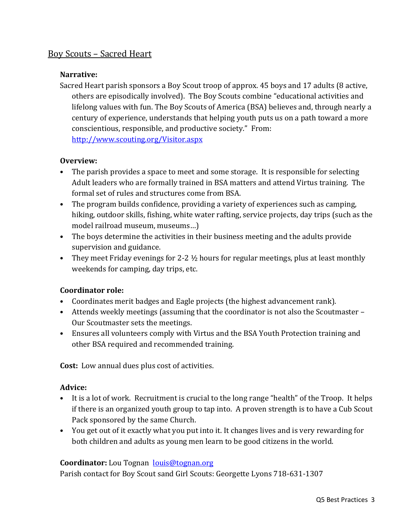# Boy Scouts – Sacred Heart

#### **Narrative:**

Sacred Heart parish sponsors a Boy Scout troop of approx. 45 boys and 17 adults (8 active, others are episodically involved). The Boy Scouts combine "educational activities and lifelong values with fun. The Boy Scouts of America (BSA) believes and, through nearly a century of experience, understands that helping youth puts us on a path toward a more conscientious, responsible, and productive society." From: <http://www.scouting.org/Visitor.aspx>

#### **Overview:**

- The parish provides a space to meet and some storage. It is responsible for selecting Adult leaders who are formally trained in BSA matters and attend Virtus training. The formal set of rules and structures come from BSA.
- The program builds confidence, providing a variety of experiences such as camping, hiking, outdoor skills, fishing, white water rafting, service projects, day trips (such as the model railroad museum, museums…)
- The boys determine the activities in their business meeting and the adults provide supervision and guidance.
- They meet Friday evenings for 2-2  $\frac{1}{2}$  hours for regular meetings, plus at least monthly weekends for camping, day trips, etc.

#### **Coordinator role:**

- Coordinates merit badges and Eagle projects (the highest advancement rank).
- Attends weekly meetings (assuming that the coordinator is not also the Scoutmaster Our Scoutmaster sets the meetings.
- Ensures all volunteers comply with Virtus and the BSA Youth Protection training and other BSA required and recommended training.

**Cost:** Low annual dues plus cost of activities.

#### **Advice:**

- It is a lot of work. Recruitment is crucial to the long range "health" of the Troop. It helps if there is an organized youth group to tap into. A proven strength is to have a Cub Scout Pack sponsored by the same Church.
- You get out of it exactly what you put into it. It changes lives and is very rewarding for both children and adults as young men learn to be good citizens in the world.

#### **Coordinator:** Lou Tognan [louis@tognan.org](mailto:louis@tognan.org)

Parish contact for Boy Scout sand Girl Scouts: Georgette Lyons 718-631-1307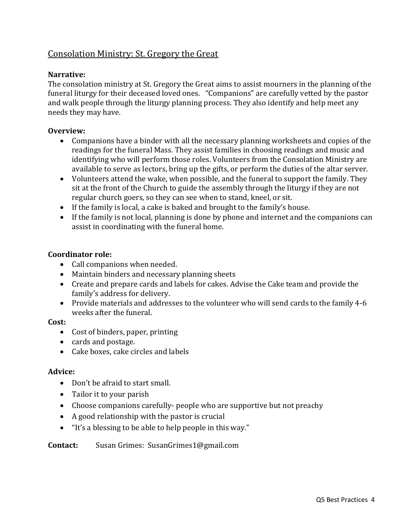# Consolation Ministry: St. Gregory the Great

#### **Narrative:**

The consolation ministry at St. Gregory the Great aims to assist mourners in the planning of the funeral liturgy for their deceased loved ones. "Companions" are carefully vetted by the pastor and walk people through the liturgy planning process. They also identify and help meet any needs they may have.

#### **Overview:**

- Companions have a binder with all the necessary planning worksheets and copies of the readings for the funeral Mass. They assist families in choosing readings and music and identifying who will perform those roles. Volunteers from the Consolation Ministry are available to serve as lectors, bring up the gifts, or perform the duties of the altar server.
- Volunteers attend the wake, when possible, and the funeral to support the family. They sit at the front of the Church to guide the assembly through the liturgy if they are not regular church goers, so they can see when to stand, kneel, or sit.
- If the family is local, a cake is baked and brought to the family's house.
- If the family is not local, planning is done by phone and internet and the companions can assist in coordinating with the funeral home.

#### **Coordinator role:**

- Call companions when needed.
- Maintain binders and necessary planning sheets
- Create and prepare cards and labels for cakes. Advise the Cake team and provide the family's address for delivery.
- Provide materials and addresses to the volunteer who will send cards to the family 4-6 weeks after the funeral.

#### **Cost:**

- Cost of binders, paper, printing
- cards and postage.
- Cake boxes, cake circles and labels

#### **Advice:**

- Don't be afraid to start small.
- Tailor it to your parish
- Choose companions carefully- people who are supportive but not preachy
- A good relationship with the pastor is crucial
- "It's a blessing to be able to help people in this way."

#### **Contact:** Susan Grimes: SusanGrimes1@gmail.com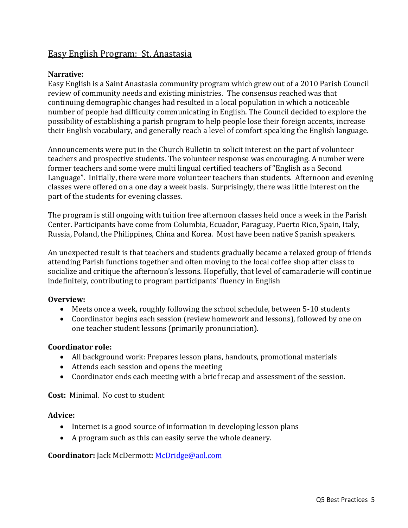### Easy English Program: St. Anastasia

#### **Narrative:**

Easy English is a Saint Anastasia community program which grew out of a 2010 Parish Council review of community needs and existing ministries. The consensus reached was that continuing demographic changes had resulted in a local population in which a noticeable number of people had difficulty communicating in English. The Council decided to explore the possibility of establishing a parish program to help people lose their foreign accents, increase their English vocabulary, and generally reach a level of comfort speaking the English language.

Announcements were put in the Church Bulletin to solicit interest on the part of volunteer teachers and prospective students. The volunteer response was encouraging. A number were former teachers and some were multi lingual certified teachers of "English as a Second Language". Initially, there were more volunteer teachers than students. Afternoon and evening classes were offered on a one day a week basis. Surprisingly, there was little interest on the part of the students for evening classes.

The program is still ongoing with tuition free afternoon classes held once a week in the Parish Center. Participants have come from Columbia, Ecuador, Paraguay, Puerto Rico, Spain, Italy, Russia, Poland, the Philippines, China and Korea. Most have been native Spanish speakers.

An unexpected result is that teachers and students gradually became a relaxed group of friends attending Parish functions together and often moving to the local coffee shop after class to socialize and critique the afternoon's lessons. Hopefully, that level of camaraderie will continue indefinitely, contributing to program participants' fluency in English

#### **Overview:**

- Meets once a week, roughly following the school schedule, between 5-10 students
- Coordinator begins each session (review homework and lessons), followed by one on one teacher student lessons (primarily pronunciation).

#### **Coordinator role:**

- All background work: Prepares lesson plans, handouts, promotional materials
- Attends each session and opens the meeting
- Coordinator ends each meeting with a brief recap and assessment of the session.

**Cost:** Minimal. No cost to student

#### **Advice:**

- Internet is a good source of information in developing lesson plans
- A program such as this can easily serve the whole deanery.

#### **Coordinator:** Jack McDermott: [McDridge@aol.com](mailto:McDridge@aol.com)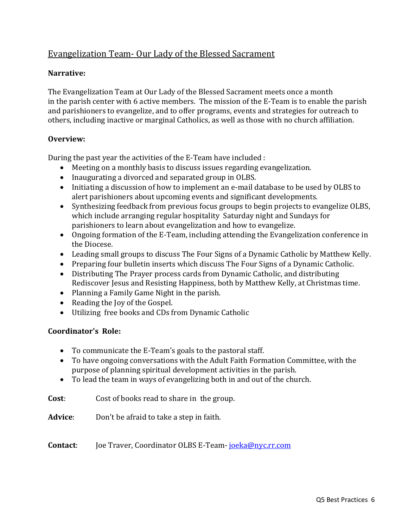# Evangelization Team- Our Lady of the Blessed Sacrament

#### **Narrative:**

The Evangelization Team at Our Lady of the Blessed Sacrament meets once a month in the parish center with 6 active members. The mission of the E-Team is to enable the parish and parishioners to evangelize, and to offer programs, events and strategies for outreach to others, including inactive or marginal Catholics, as well as those with no church affiliation.

#### **Overview:**

During the past year the activities of the E-Team have included :

- Meeting on a monthly basis to discuss issues regarding evangelization.
- Inaugurating a divorced and separated group in OLBS.
- Initiating a discussion of how to implement an e-mail database to be used by OLBS to alert parishioners about upcoming events and significant developments.
- Synthesizing feedback from previous focus groups to begin projects to evangelize OLBS, which include arranging regular hospitality Saturday night and Sundays for parishioners to learn about evangelization and how to evangelize.
- Ongoing formation of the E-Team, including attending the Evangelization conference in the Diocese.
- Leading small groups to discuss The Four Signs of a Dynamic Catholic by Matthew Kelly.
- Preparing four bulletin inserts which discuss The Four Signs of a Dynamic Catholic.
- Distributing The Prayer process cards from Dynamic Catholic, and distributing Rediscover Jesus and Resisting Happiness, both by Matthew Kelly, at Christmas time.
- Planning a Family Game Night in the parish.
- Reading the Joy of the Gospel.
- Utilizing free books and CDs from Dynamic Catholic

#### **Coordinator's Role:**

- To communicate the E-Team's goals to the pastoral staff.
- To have ongoing conversations with the Adult Faith Formation Committee, with the purpose of planning spiritual development activities in the parish.
- To lead the team in ways of evangelizing both in and out of the church.

**Cost**: Cost of books read to share in the group.

**Advice**: Don't be afraid to take a step in faith.

**Contact**: Joe Traver, Coordinator OLBS E-Team- [joeka@nyc.rr.com](mailto:joeka@nyc.rr.com)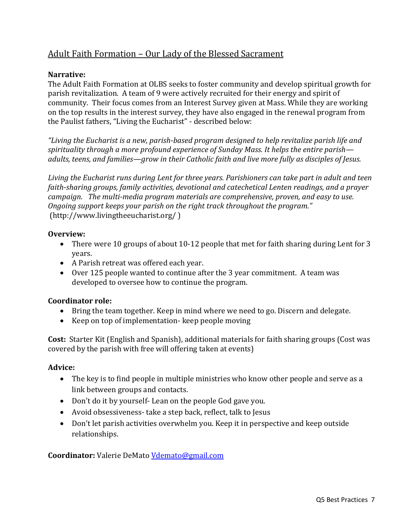# Adult Faith Formation – Our Lady of the Blessed Sacrament

#### **Narrative:**

The Adult Faith Formation at OLBS seeks to foster community and develop spiritual growth for parish revitalization. A team of 9 were actively recruited for their energy and spirit of community. Their focus comes from an Interest Survey given at Mass. While they are working on the top results in the interest survey, they have also engaged in the renewal program from the Paulist fathers, "Living the Eucharist" - described below:

*"Living the Eucharist is a new, parish-based program designed to help revitalize parish life and spirituality through a more profound experience of Sunday Mass. It helps the entire parish adults, teens, and families—grow in their Catholic faith and live more fully as disciples of Jesus.*

*Living the Eucharist runs during Lent for three years. Parishioners can take part in adult and teen faith-sharing groups, family activities, devotional and catechetical Lenten readings, and a prayer campaign. The multi-media program materials are comprehensive, proven, and easy to use. Ongoing support keeps your parish on the right track throughout the program."* (http://www.livingtheeucharist.org/ )

#### **Overview:**

- There were 10 groups of about 10-12 people that met for faith sharing during Lent for 3 years.
- A Parish retreat was offered each year.
- Over 125 people wanted to continue after the 3 year commitment. A team was developed to oversee how to continue the program.

#### **Coordinator role:**

- Bring the team together. Keep in mind where we need to go. Discern and delegate.
- Keep on top of implementation-keep people moving

**Cost:** Starter Kit (English and Spanish), additional materials for faith sharing groups (Cost was covered by the parish with free will offering taken at events)

#### **Advice:**

- The key is to find people in multiple ministries who know other people and serve as a link between groups and contacts.
- Don't do it by yourself- Lean on the people God gave you.
- Avoid obsessiveness- take a step back, reflect, talk to Jesus
- Don't let parish activities overwhelm you. Keep it in perspective and keep outside relationships.

#### **Coordinator:** Valerie DeMato [Vdemato@gmail.com](mailto:Vdemato@gmail.com)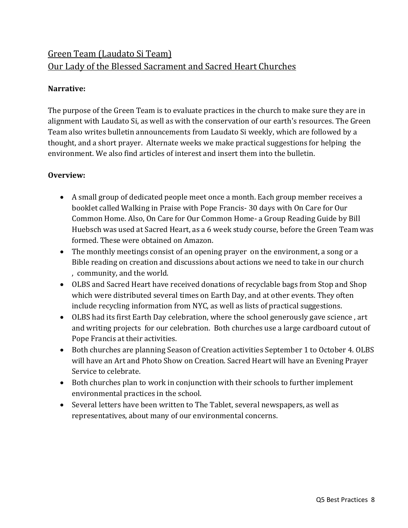# Green Team (Laudato Si Team) Our Lady of the Blessed Sacrament and Sacred Heart Churches

#### **Narrative:**

The purpose of the Green Team is to evaluate practices in the church to make sure they are in alignment with Laudato Si, as well as with the conservation of our earth's resources. The Green Team also writes bulletin announcements from Laudato Si weekly, which are followed by a thought, and a short prayer. Alternate weeks we make practical suggestions for helping the environment. We also find articles of interest and insert them into the bulletin.

#### **Overview:**

- A small group of dedicated people meet once a month. Each group member receives a booklet called Walking in Praise with Pope Francis- 30 days with On Care for Our Common Home. Also, On Care for Our Common Home- a Group Reading Guide by Bill Huebsch was used at Sacred Heart, as a 6 week study course, before the Green Team was formed. These were obtained on Amazon.
- The monthly meetings consist of an opening prayer on the environment, a song or a Bible reading on creation and discussions about actions we need to take in our church , community, and the world.
- OLBS and Sacred Heart have received donations of recyclable bags from Stop and Shop which were distributed several times on Earth Day, and at other events. They often include recycling information from NYC, as well as lists of practical suggestions.
- OLBS had its first Earth Day celebration, where the school generously gave science , art and writing projects for our celebration. Both churches use a large cardboard cutout of Pope Francis at their activities.
- Both churches are planning Season of Creation activities September 1 to October 4. OLBS will have an Art and Photo Show on Creation. Sacred Heart will have an Evening Prayer Service to celebrate.
- Both churches plan to work in conjunction with their schools to further implement environmental practices in the school.
- Several letters have been written to The Tablet, several newspapers, as well as representatives, about many of our environmental concerns.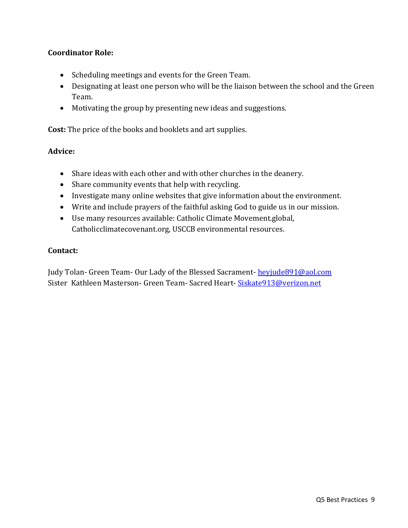#### **Coordinator Role:**

- Scheduling meetings and events for the Green Team.
- Designating at least one person who will be the liaison between the school and the Green Team.
- Motivating the group by presenting new ideas and suggestions.

**Cost:** The price of the books and booklets and art supplies.

#### **Advice:**

- Share ideas with each other and with other churches in the deanery.
- Share community events that help with recycling.
- Investigate many online websites that give information about the environment.
- Write and include prayers of the faithful asking God to guide us in our mission.
- Use many resources available: Catholic Climate Movement.global, Catholicclimatecovenant.org, USCCB environmental resources.

#### **Contact:**

Judy Tolan- Green Team- Our Lady of the Blessed Sacrament- [heyjude891@aol.com](mailto:heyjude891@aol.com) Sister Kathleen Masterson- Green Team- Sacred Heart- Siskate 913@verizon.net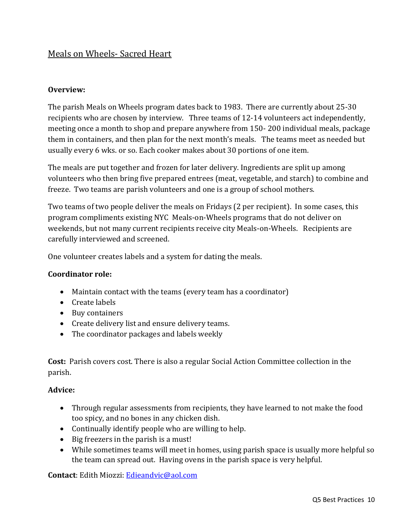## Meals on Wheels- Sacred Heart

#### **Overview:**

The parish Meals on Wheels program dates back to 1983. There are currently about 25-30 recipients who are chosen by interview. Three teams of 12-14 volunteers act independently, meeting once a month to shop and prepare anywhere from 150- 200 individual meals, package them in containers, and then plan for the next month's meals. The teams meet as needed but usually every 6 wks. or so. Each cooker makes about 30 portions of one item.

The meals are put together and frozen for later delivery. Ingredients are split up among volunteers who then bring five prepared entrees (meat, vegetable, and starch) to combine and freeze. Two teams are parish volunteers and one is a group of school mothers.

Two teams of two people deliver the meals on Fridays (2 per recipient). In some cases, this program compliments existing NYC Meals-on-Wheels programs that do not deliver on weekends, but not many current recipients receive city Meals-on-Wheels. Recipients are carefully interviewed and screened.

One volunteer creates labels and a system for dating the meals.

#### **Coordinator role:**

- Maintain contact with the teams (every team has a coordinator)
- Create labels
- Buy containers
- Create delivery list and ensure delivery teams.
- The coordinator packages and labels weekly

**Cost:** Parish covers cost. There is also a regular Social Action Committee collection in the parish.

#### **Advice:**

- Through regular assessments from recipients, they have learned to not make the food too spicy, and no bones in any chicken dish.
- Continually identify people who are willing to help.
- Big freezers in the parish is a must!
- While sometimes teams will meet in homes, using parish space is usually more helpful so the team can spread out. Having ovens in the parish space is very helpful.

**Contact**: Edith Miozzi: [Edieandvic@aol.com](mailto:Edieandvic@aol.com)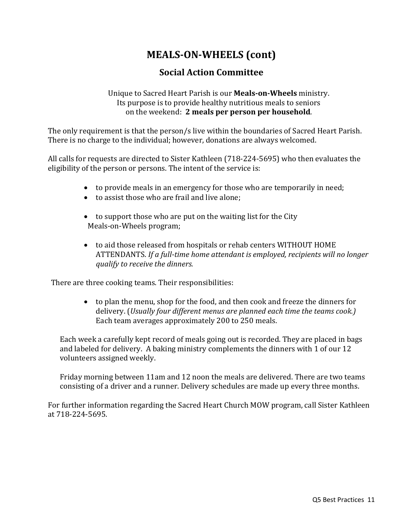# **MEALS-ON-WHEELS (cont)**

# **Social Action Committee**

Unique to Sacred Heart Parish is our **Meals-on-Wheels** ministry. Its purpose is to provide healthy nutritious meals to seniors on the weekend: **2 meals per person per household**.

The only requirement is that the person/s live within the boundaries of Sacred Heart Parish. There is no charge to the individual; however, donations are always welcomed.

All calls for requests are directed to Sister Kathleen (718-224-5695) who then evaluates the eligibility of the person or persons. The intent of the service is:

- to provide meals in an emergency for those who are temporarily in need;
- to assist those who are frail and live alone;
- to support those who are put on the waiting list for the City Meals-on-Wheels program;
- to aid those released from hospitals or rehab centers WITHOUT HOME ATTENDANTS. *If a full-time home attendant is employed, recipients will no longer qualify to receive the dinners.*

There are three cooking teams. Their responsibilities:

 to plan the menu, shop for the food, and then cook and freeze the dinners for delivery. (*Usually four different menus are planned each time the teams cook.)* Each team averages approximately 200 to 250 meals.

Each week a carefully kept record of meals going out is recorded. They are placed in bags and labeled for delivery. A baking ministry complements the dinners with 1 of our 12 volunteers assigned weekly.

Friday morning between 11am and 12 noon the meals are delivered. There are two teams consisting of a driver and a runner. Delivery schedules are made up every three months.

For further information regarding the Sacred Heart Church MOW program, call Sister Kathleen at 718-224-5695.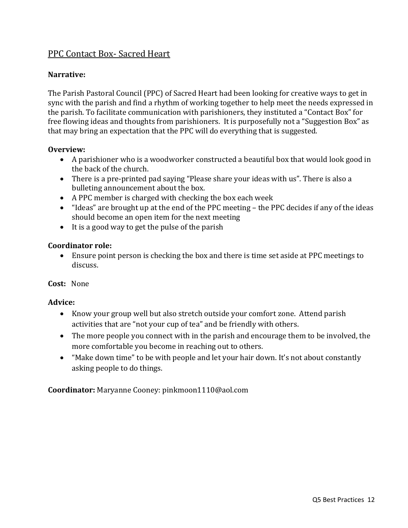## PPC Contact Box- Sacred Heart

#### **Narrative:**

The Parish Pastoral Council (PPC) of Sacred Heart had been looking for creative ways to get in sync with the parish and find a rhythm of working together to help meet the needs expressed in the parish. To facilitate communication with parishioners, they instituted a "Contact Box" for free flowing ideas and thoughts from parishioners. It is purposefully not a "Suggestion Box" as that may bring an expectation that the PPC will do everything that is suggested.

#### **Overview:**

- A parishioner who is a woodworker constructed a beautiful box that would look good in the back of the church.
- There is a pre-printed pad saying "Please share your ideas with us". There is also a bulleting announcement about the box.
- A PPC member is charged with checking the box each week
- "Ideas" are brought up at the end of the PPC meeting the PPC decides if any of the ideas should become an open item for the next meeting
- It is a good way to get the pulse of the parish

#### **Coordinator role:**

 Ensure point person is checking the box and there is time set aside at PPC meetings to discuss.

#### **Cost:** None

#### **Advice:**

- Know your group well but also stretch outside your comfort zone. Attend parish activities that are "not your cup of tea" and be friendly with others.
- The more people you connect with in the parish and encourage them to be involved, the more comfortable you become in reaching out to others.
- "Make down time" to be with people and let your hair down. It's not about constantly asking people to do things.

**Coordinator:** Maryanne Cooney: pinkmoon1110@aol.com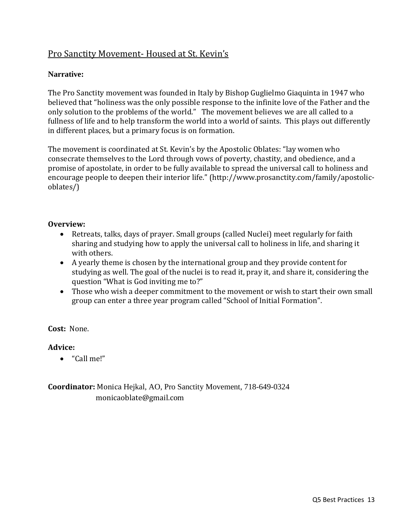# Pro Sanctity Movement- Housed at St. Kevin's

#### **Narrative:**

The Pro Sanctity movement was founded in Italy by Bishop Guglielmo Giaquinta in 1947 who believed that "holiness was the only possible response to the infinite love of the Father and the only solution to the problems of the world." The movement believes we are all called to a fullness of life and to help transform the world into a world of saints. This plays out differently in different places, but a primary focus is on formation.

The movement is coordinated at St. Kevin's by the Apostolic Oblates: "lay women who consecrate themselves to the Lord through vows of poverty, chastity, and obedience, and a promise of apostolate, in order to be fully available to spread the universal call to holiness and encourage people to deepen their interior life." (http://www.prosanctity.com/family/apostolicoblates/)

#### **Overview:**

- Retreats, talks, days of prayer. Small groups (called Nuclei) meet regularly for faith sharing and studying how to apply the universal call to holiness in life, and sharing it with others.
- A yearly theme is chosen by the international group and they provide content for studying as well. The goal of the nuclei is to read it, pray it, and share it, considering the question "What is God inviting me to?"
- Those who wish a deeper commitment to the movement or wish to start their own small group can enter a three year program called "School of Initial Formation".

**Cost:** None.

#### **Advice:**

"Call me!"

**Coordinator:** Monica Hejkal, AO, Pro Sanctity Movement, 718-649-0324 monicaoblate@gmail.com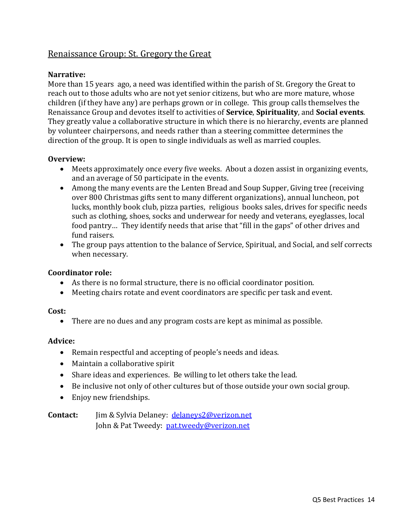# Renaissance Group: St. Gregory the Great

#### **Narrative:**

More than 15 years ago, a need was identified within the parish of St. Gregory the Great to reach out to those adults who are not yet senior citizens, but who are more mature, whose children (if they have any) are perhaps grown or in college. This group calls themselves the Renaissance Group and devotes itself to activities of **Service**, **Spirituality**, and **Social events**. They greatly value a collaborative structure in which there is no hierarchy, events are planned by volunteer chairpersons, and needs rather than a steering committee determines the direction of the group. It is open to single individuals as well as married couples.

#### **Overview:**

- Meets approximately once every five weeks. About a dozen assist in organizing events, and an average of 50 participate in the events.
- Among the many events are the Lenten Bread and Soup Supper, Giving tree (receiving over 800 Christmas gifts sent to many different organizations), annual luncheon, pot lucks, monthly book club, pizza parties, religious books sales, drives for specific needs such as clothing, shoes, socks and underwear for needy and veterans, eyeglasses, local food pantry… They identify needs that arise that "fill in the gaps" of other drives and fund raisers.
- The group pays attention to the balance of Service, Spiritual, and Social, and self corrects when necessary.

#### **Coordinator role:**

- As there is no formal structure, there is no official coordinator position.
- Meeting chairs rotate and event coordinators are specific per task and event.

#### **Cost:**

There are no dues and any program costs are kept as minimal as possible.

#### **Advice:**

- Remain respectful and accepting of people's needs and ideas.
- Maintain a collaborative spirit
- Share ideas and experiences. Be willing to let others take the lead.
- Be inclusive not only of other cultures but of those outside your own social group.
- Enjoy new friendships.

**Contact:** Jim & Sylvia Delaney: [delaneys2@verizon.net](mailto:delaneys2@verizon.net) John & Pat Tweedy: [pat.tweedy@verizon.net](mailto:pat.tweedy@verizon.net)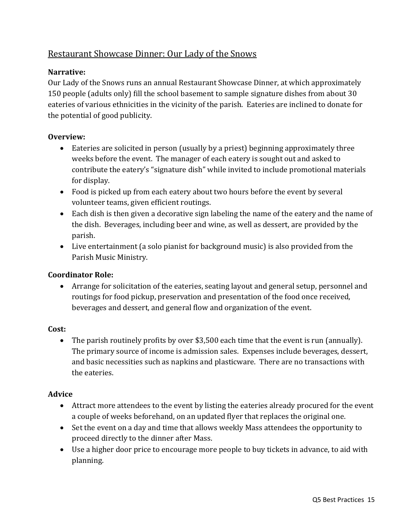# Restaurant Showcase Dinner: Our Lady of the Snows

#### **Narrative:**

Our Lady of the Snows runs an annual Restaurant Showcase Dinner, at which approximately 150 people (adults only) fill the school basement to sample signature dishes from about 30 eateries of various ethnicities in the vicinity of the parish. Eateries are inclined to donate for the potential of good publicity.

#### **Overview:**

- Eateries are solicited in person (usually by a priest) beginning approximately three weeks before the event. The manager of each eatery is sought out and asked to contribute the eatery's "signature dish" while invited to include promotional materials for display.
- Food is picked up from each eatery about two hours before the event by several volunteer teams, given efficient routings.
- Each dish is then given a decorative sign labeling the name of the eatery and the name of the dish. Beverages, including beer and wine, as well as dessert, are provided by the parish.
- Live entertainment (a solo pianist for background music) is also provided from the Parish Music Ministry.

#### **Coordinator Role:**

 Arrange for solicitation of the eateries, seating layout and general setup, personnel and routings for food pickup, preservation and presentation of the food once received, beverages and dessert, and general flow and organization of the event.

#### **Cost:**

 The parish routinely profits by over \$3,500 each time that the event is run (annually). The primary source of income is admission sales. Expenses include beverages, dessert, and basic necessities such as napkins and plasticware. There are no transactions with the eateries.

#### **Advice**

- Attract more attendees to the event by listing the eateries already procured for the event a couple of weeks beforehand, on an updated flyer that replaces the original one.
- Set the event on a day and time that allows weekly Mass attendees the opportunity to proceed directly to the dinner after Mass.
- Use a higher door price to encourage more people to buy tickets in advance, to aid with planning.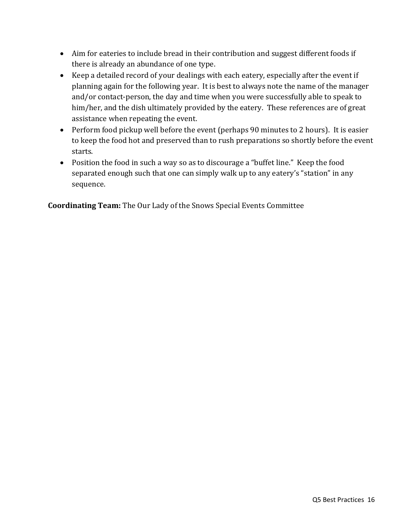- Aim for eateries to include bread in their contribution and suggest different foods if there is already an abundance of one type.
- Keep a detailed record of your dealings with each eatery, especially after the event if planning again for the following year. It is best to always note the name of the manager and/or contact-person, the day and time when you were successfully able to speak to him/her, and the dish ultimately provided by the eatery. These references are of great assistance when repeating the event.
- Perform food pickup well before the event (perhaps 90 minutes to 2 hours). It is easier to keep the food hot and preserved than to rush preparations so shortly before the event starts.
- Position the food in such a way so as to discourage a "buffet line." Keep the food separated enough such that one can simply walk up to any eatery's "station" in any sequence.

**Coordinating Team:** The Our Lady of the Snows Special Events Committee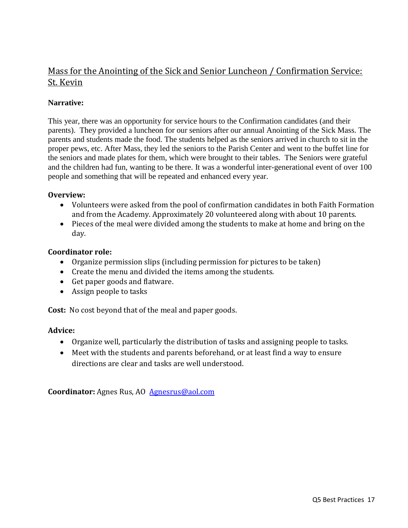# Mass for the Anointing of the Sick and Senior Luncheon / Confirmation Service: St. Kevin

#### **Narrative:**

This year, there was an opportunity for service hours to the Confirmation candidates (and their parents). They provided a luncheon for our seniors after our annual Anointing of the Sick Mass. The parents and students made the food. The students helped as the seniors arrived in church to sit in the proper pews, etc. After Mass, they led the seniors to the Parish Center and went to the buffet line for the seniors and made plates for them, which were brought to their tables. The Seniors were grateful and the children had fun, wanting to be there. It was a wonderful inter-generational event of over 100 people and something that will be repeated and enhanced every year.

#### **Overview:**

- Volunteers were asked from the pool of confirmation candidates in both Faith Formation and from the Academy. Approximately 20 volunteered along with about 10 parents.
- Pieces of the meal were divided among the students to make at home and bring on the day.

#### **Coordinator role:**

- Organize permission slips (including permission for pictures to be taken)
- Create the menu and divided the items among the students.
- Get paper goods and flatware.
- Assign people to tasks

**Cost:** No cost beyond that of the meal and paper goods.

#### **Advice:**

- Organize well, particularly the distribution of tasks and assigning people to tasks.
- Meet with the students and parents beforehand, or at least find a way to ensure directions are clear and tasks are well understood.

**Coordinator:** Agnes Rus, AO [Agnesrus@aol.com](mailto:Agnesrus@aol.com)